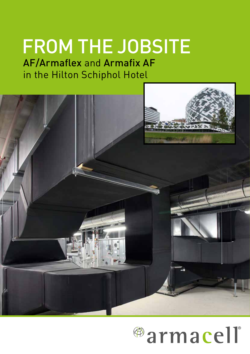# FROM THE JOBSITE

AF/Armaflex and Armafix AF in the Hilton Schiphol Hotel



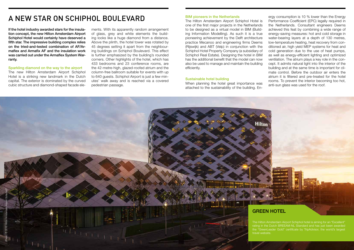The Hilton Amsterdam Airport Schiphol Hotel is one of the first major projects in the Netherlands to be designed as a virtual model in BIM (Building Information Modelling). As such it is a true pioneering achievement by the Delft architecture practice Mecanoo and engineering firms Deerns (Rijswijk) and ABT (Velp) in conjunction with the Schiphol Hotel Property Company (a subsidiary of Schiphol Real Estate). Designing the hotel in BIM has the additional benefit that the model can now also be used to manage and maintain the building efficiently.

#### Sustainable hotel building

When planning the hotel great importance was attached to the sustainability of the building. En-



ergy consumption is 10 % lower than the Energy Performance Coefficient (EPC) legally required in the Netherlands. Consultant engineers Deerns achieved this feat by combining a wide range of energy-saving measures: hot and cold storage in water-bearing layers at a depth of 130 metres, low-temperature heating, heat recovery from conditioned air, high yield MEP systems for heat and cold generation due to the use of heat pumps, as well as energy-efficient lighting and optimized ventilation. The atrium plays a key role in the concept. It admits natural light into the interior of the building and at the same time is important for climate control. Before the outdoor air enters the atrium it is filtered and pre-treated for the hotel rooms. To prevent the interior becoming too hot, anti-sun glass was used for the roof.

### A NEW STAR ON SCHIPHOL BOULEVARD BIM pioneers in the Netherlands

If the hotel industry awarded stars for the insulation concept, the new Hilton Amsterdam Airport Schiphol Hotel would certainly have deserved a fifth star. The impressive building complex relies on the tried-and-tested combination of AF/Armaflex and Armafix AF and the insulation work was carried out under the Armaflex System Warranty.

### Sparkling diamond on the way to the airport

The new Hilton Amsterdam Airport Schiphol Hotel is a striking new landmark in the Dutch capital. The exterior is dominated by the curved cubic structure and diamond-shaped facade elements. With its apparently random arrangement of glass, grey and white elements the building looks like a huge diamond from a distance. Above the plinth, the hotel tower was rotated by 45 degrees setting it apart from the neighbouring buildings on Schiphol Boulevard. This effect is further emphasized by the building's rounded corners. Other highlights of the hotel, which has 433 bedrooms and 23 conference rooms, are the 42-metre-high, glazed-roofed atrium and the column-free ballroom suitable for events with up to 640 quests. Schiphol Airport is just a few minutes' walk away and is reached via a covered pedestrian passage.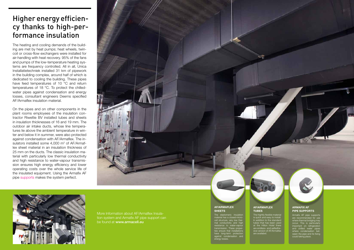# Higher energy efficiency thanks to high-performance insulation

The heating and cooling demands of the building are met by heat pumps; heat wheels, twincoil or cross-flow exchangers were installed for air-handling with heat recovery. 95% of the fans and pumps of the low-temperature heating systems are frequency controlled. All in all, Unica Installatietechniek installed 31 km of pipework in the building complex, around half of which is dedicated to cooling the building. These pipes have feed temperatures of 10 °C and return temperatures of 18 °C. To protect the chilledwater pipes against condensation and energy losses, consultant engineers Deerns specified AF/Armaflex insulation material.

### AF/ARMAFLEX **TUBES**

The hightly flexible material are availahe

#### AF/ARMAFLEX **SHEETS**

On the pipes and on other components in the plant rooms employees of the insulation contractor Riweltie BV installed tubes and sheets in insulation thicknesses of 16 and 19 mm. The outdoor air intake ducts, whose line temperatures lie above the ambient temperature in winter and below it in summer, were also protected against condensation with AF/Armaflex. The insulators installed some  $4,000$  m<sup>2</sup> of AF/Armaflex sheet material in an insulation thickness of 25 mm on the ducts. The classic insulation material with particularly low thermal conductivity and high resistance to water-vapour transmission ensures high energy efficiency and lower operating costs over the whole service life of the insulated equipment. Using the Armafix AF pipe supports makes the system perfect.





More Information about AF/Armaflex Insulation system and Armafix AF pipe support can be found at www.armacell.eu

Armafix AF pipe supports are recommended for use where thermal bridging may occur. This is particularly important on refrigeration and chilled water pipe where condensation between the pipe and its fixing could taking place.

#### ARMAFIX AF PIPE SUPPORTS

is quick and easy to install. In addition to the standard tubes that has been used at the Hilton Hotel there are endless- and selfadhesive version of AF/Armaflex

The elastomeric insulation material has a closed-microcell structure, very low thermal conductivity and high ance to w transmission. These propersure that installations<br>and that in have long-term protection against condensation and energy losses.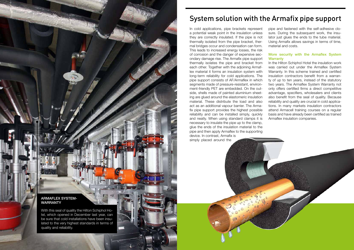6 7

# System solution with the Armafix pipe support

In cold applications, pipe brackets represent a potential weak point in the insulation unless they are correctly insulated. If the pipe is not thermally isolated from the pipe bracket, thermal bridges occur and condensation can form. This leads to increased energy losses, the risk of corrosion and the danger of expensive secondary damage rise. The Armafix pipe support thermally isolates the pipe and bracket from each other. Together with the adjoining Armaflex material it forms an insulation system with long-term reliability for cold applications. The pipe support consists of AF/Armaflex in which segments made of pressure-resistant, environment-friendly PET are embedded. On the outside, shells made of painted aluminium sheeting are glued around the elastomeric insulation material. These distribute the load and also act as an additional vapour barrier. The Armafix pipe support provides the highest possible reliability and can be installed simply, quickly and neatly. When using standard clamps it is necessary to insulate the pipe up to the clamp, glue the ends of the insulation material to the pipe and then apply Armaflex to the supporting device. In contrast, Armafix is simply placed around the

### More security with the Armaflex System **Warranty**

pipe and fastened with the self-adhesive closure. During the subsequent work, the insulator just glues the ends to the tube material. Using Armafix allows savings in terms of time, material and costs.

In the Hilton Schiphol Hotel the insulation work was carried out under the Armaflex System Warranty. In this scheme trained and certified insulation contractors benefit from a warranty of up to ten years, instead of the statutory two years. The Armaflex System Warranty not only offers certified firms a direct competitive advantage, specifiers, wholesalers and clients also benefit from the seal of quality. Because reliability and quality are crucial in cold applications. In many markets insulation contractors attend Armacell training courses on a regular basis and have already been certified as trained Armaflex insulation companies.



With this seal of quality the Hilton Schiphol Hotel, which opened in December last year, can be sure that cold installations have been insulated to the very highest standards in terms of quality and reliability.